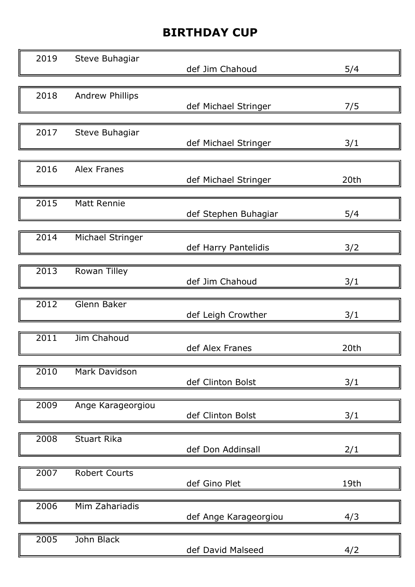## BIRTHDAY CUP

| 2019 | Steve Buhagiar          | def Jim Chahoud       | 5/4  |
|------|-------------------------|-----------------------|------|
| 2018 | <b>Andrew Phillips</b>  | def Michael Stringer  | 7/5  |
| 2017 | Steve Buhagiar          | def Michael Stringer  | 3/1  |
| 2016 | <b>Alex Franes</b>      | def Michael Stringer  | 20th |
| 2015 | <b>Matt Rennie</b>      | def Stephen Buhagiar  | 5/4  |
| 2014 | <b>Michael Stringer</b> | def Harry Pantelidis  | 3/2  |
| 2013 | Rowan Tilley            | def Jim Chahoud       | 3/1  |
| 2012 | Glenn Baker             | def Leigh Crowther    | 3/1  |
| 2011 | Jim Chahoud             | def Alex Franes       | 20th |
| 2010 | Mark Davidson           | def Clinton Bolst     | 3/1  |
| 2009 | Ange Karageorgiou       | def Clinton Bolst     | 3/1  |
| 2008 | <b>Stuart Rika</b>      | def Don Addinsall     | 2/1  |
| 2007 | <b>Robert Courts</b>    | def Gino Plet         | 19th |
| 2006 | Mim Zahariadis          | def Ange Karageorgiou | 4/3  |
| 2005 | John Black              | def David Malseed     | 4/2  |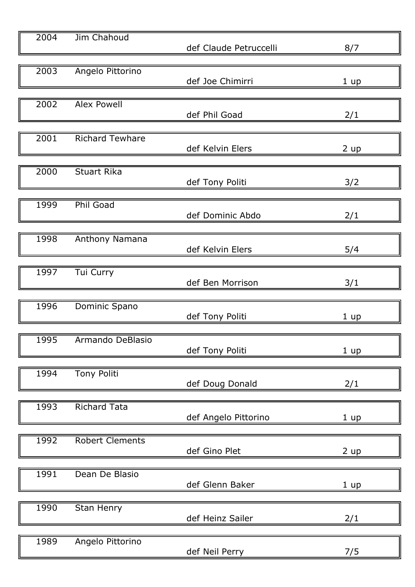| 2004              | Jim Chahoud            | def Claude Petruccelli | 8/7       |
|-------------------|------------------------|------------------------|-----------|
| $\overline{2003}$ | Angelo Pittorino       | def Joe Chimirri       | 1 up      |
| 2002              | <b>Alex Powell</b>     | def Phil Goad          | 2/1       |
| 2001              | <b>Richard Tewhare</b> | def Kelvin Elers       | 2 up      |
| 2000              | <b>Stuart Rika</b>     | def Tony Politi        | 3/2       |
| 1999              | <b>Phil Goad</b>       | def Dominic Abdo       | 2/1       |
| 1998              | Anthony Namana         | def Kelvin Elers       | 5/4       |
| 1997              | Tui Curry              | def Ben Morrison       | 3/1       |
| 1996              | Dominic Spano          | def Tony Politi        | 1 up      |
| 1995              | Armando DeBlasio       | def Tony Politi        | 1 up      |
| 1994              | <b>Tony Politi</b>     | def Doug Donald        | 2/1       |
| 1993              | <b>Richard Tata</b>    | def Angelo Pittorino   | 1 up      |
| 1992              | <b>Robert Clements</b> | def Gino Plet          | $2 \mu p$ |
| 1991              | Dean De Blasio         | def Glenn Baker        | 1 up      |
| 1990              | Stan Henry             | def Heinz Sailer       | 2/1       |
| 1989              | Angelo Pittorino       | def Neil Perry         | 7/5       |